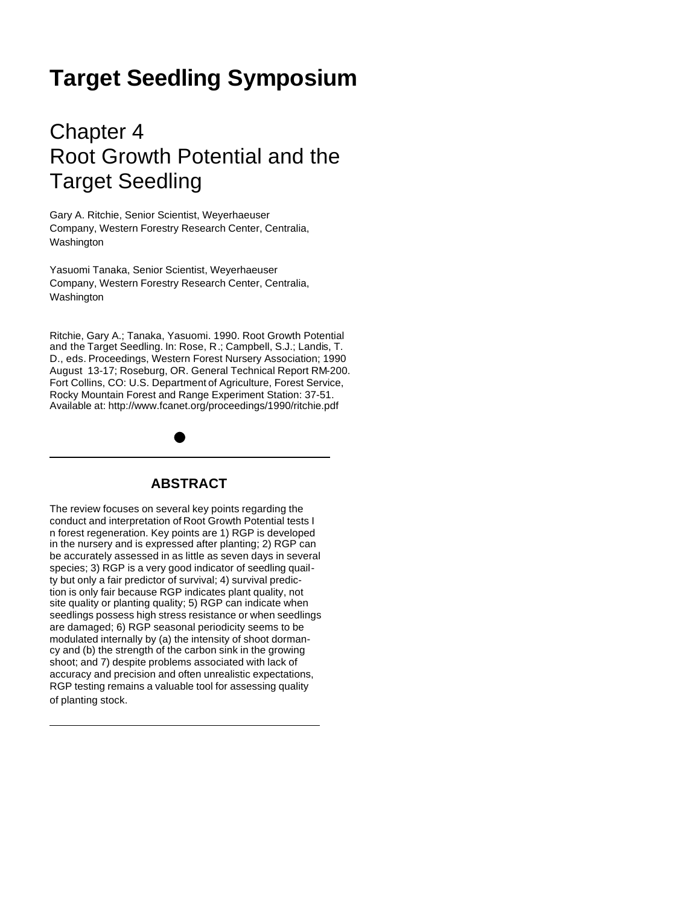# **Target Seedling Symposium**

# Chapter 4 Root Growth Potential and the Target Seedling

Gary A. Ritchie, Senior Scientist, Weyerhaeuser Company, Western Forestry Research Center, Centralia, Washington

Yasuomi Tanaka, Senior Scientist, Weyerhaeuser Company, Western Forestry Research Center, Centralia, Washington

Ritchie, Gary A.; Tanaka, Yasuomi. 1990. Root Growth Potential and the Target Seedling. In: Rose, R.; Campbell, S.J.; Landis, T. D., eds. Proceedings, Western Forest Nursery Association; 1990 August 13-17; Roseburg, OR. General Technical Report RM-200. Fort Collins, CO: U.S. Department of Agriculture, Forest Service, Rocky Mountain Forest and Range Experiment Station: 37-51. Available at: http://www.fcanet.org/proceedings/1990/ritchie.pdf

## **ABSTRACT**

The review focuses on several key points regarding the conduct and interpretation of Root Growth Potential tests I n forest regeneration. Key points are 1) RGP is developed in the nursery and is expressed after planting; 2) RGP can be accurately assessed in as little as seven days in several species; 3) RGP is a very good indicator of seedling quailty but only a fair predictor of survival; 4) survival prediction is only fair because RGP indicates plant quality, not site quality or planting quality; 5) RGP can indicate when seedlings possess high stress resistance or when seedlings are damaged; 6) RGP seasonal periodicity seems to be modulated internally by (a) the intensity of shoot dormancy and (b) the strength of the carbon sink in the growing shoot; and 7) despite problems associated with lack of accuracy and precision and often unrealistic expectations, RGP testing remains a valuable tool for assessing quality of planting stock.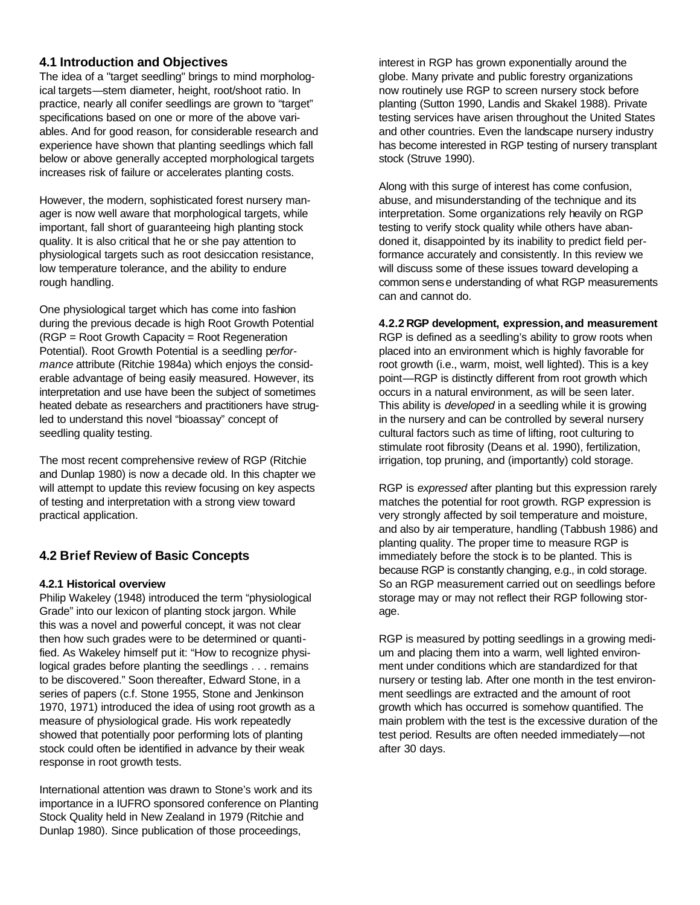### **4.1 Introduction and Objectives**

The idea of a "target seedling" brings to mind morphological targets—stem diameter, height, root/shoot ratio. In practice, nearly all conifer seedlings are grown to "target" specifications based on one or more of the above variables. And for good reason, for considerable research and experience have shown that planting seedlings which fall below or above generally accepted morphological targets increases risk of failure or accelerates planting costs.

However, the modern, sophisticated forest nursery manager is now well aware that morphological targets, while important, fall short of guaranteeing high planting stock quality. It is also critical that he or she pay attention to physiological targets such as root desiccation resistance, low temperature tolerance, and the ability to endure rough handling.

One physiological target which has come into fashion during the previous decade is high Root Growth Potential (RGP = Root Growth Capacity = Root Regeneration Potential). Root Growth Potential is a seedling p*erformance* attribute (Ritchie 1984a) which enjoys the considerable advantage of being easily measured. However, its interpretation and use have been the subject of sometimes heated debate as researchers and practitioners have strugled to understand this novel "bioassay" concept of seedling quality testing.

The most recent comprehensive review of RGP (Ritchie and Dunlap 1980) is now a decade old. In this chapter we will attempt to update this review focusing on key aspects of testing and interpretation with a strong view toward practical application.

### **4.2 Brief Review of Basic Concepts**

#### **4.2.1 Historical overview**

Philip Wakeley (1948) introduced the term "physiological Grade" into our lexicon of planting stock jargon. While this was a novel and powerful concept, it was not clear then how such grades were to be determined or quantified. As Wakeley himself put it: "How to recognize physilogical grades before planting the seedlings . . . remains to be discovered." Soon thereafter, Edward Stone, in a series of papers (c.f. Stone 1955, Stone and Jenkinson 1970, 1971) introduced the idea of using root growth as a measure of physiological grade. His work repeatedly showed that potentially poor performing lots of planting stock could often be identified in advance by their weak response in root growth tests.

International attention was drawn to Stone's work and its importance in a IUFRO sponsored conference on Planting Stock Quality held in New Zealand in 1979 (Ritchie and Dunlap 1980). Since publication of those proceedings,

interest in RGP has grown exponentially around the globe. Many private and public forestry organizations now routinely use RGP to screen nursery stock before planting (Sutton 1990, Landis and Skakel 1988). Private testing services have arisen throughout the United States and other countries. Even the landscape nursery industry has become interested in RGP testing of nursery transplant stock (Struve 1990).

Along with this surge of interest has come confusion, abuse, and misunderstanding of the technique and its interpretation. Some organizations rely heavily on RGP testing to verify stock quality while others have abandoned it, disappointed by its inability to predict field performance accurately and consistently. In this review we will discuss some of these issues toward developing a common sense understanding of what RGP measurements can and cannot do.

#### **4.2.2 RGP development, expression,and measurement**

RGP is defined as a seedling's ability to grow roots when placed into an environment which is highly favorable for root growth (i.e., warm, moist, well lighted). This is a key point—RGP is distinctly different from root growth which occurs in a natural environment, as will be seen later. This ability is *developed* in a seedling while it is growing in the nursery and can be controlled by several nursery cultural factors such as time of lifting, root culturing to stimulate root fibrosity (Deans et al. 1990), fertilization, irrigation, top pruning, and (importantly) cold storage.

RGP is *expressed* after planting but this expression rarely matches the potential for root growth. RGP expression is very strongly affected by soil temperature and moisture, and also by air temperature, handling (Tabbush 1986) and planting quality. The proper time to measure RGP is immediately before the stock is to be planted. This is because RGP is constantly changing, e.g., in cold storage. So an RGP measurement carried out on seedlings before storage may or may not reflect their RGP following storage.

RGP is measured by potting seedlings in a growing medium and placing them into a warm, well lighted environment under conditions which are standardized for that nursery or testing lab. After one month in the test environment seedlings are extracted and the amount of root growth which has occurred is somehow quantified. The main problem with the test is the excessive duration of the test period. Results are often needed immediately—not after 30 days.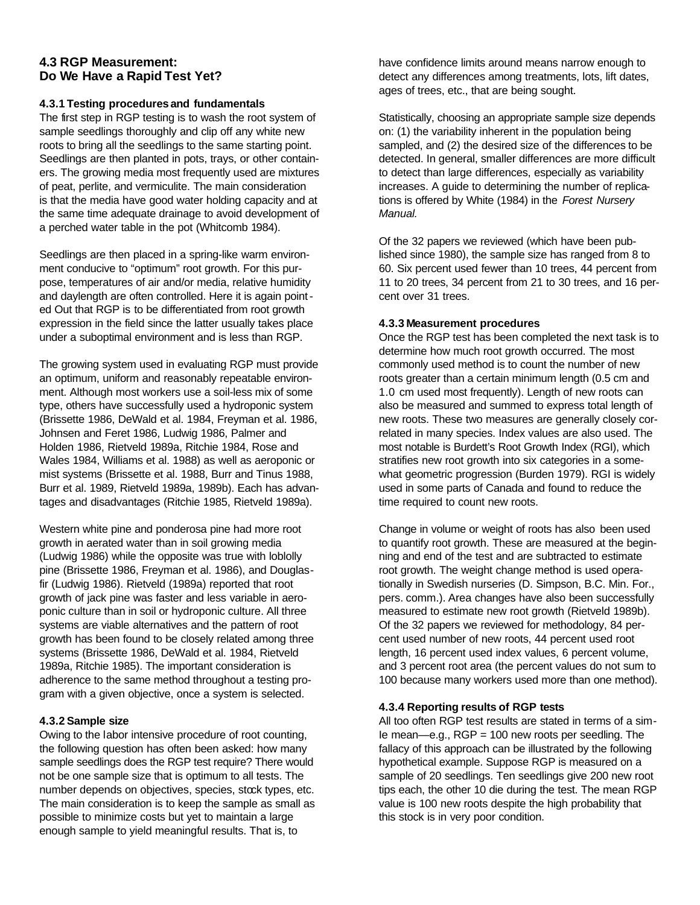#### **4.3 RGP Measurement: Do We Have a Rapid Test Yet?**

#### **4.3.1 Testing procedures and fundamentals**

The first step in RGP testing is to wash the root system of sample seedlings thoroughly and clip off any white new roots to bring all the seedlings to the same starting point. Seedlings are then planted in pots, trays, or other containers. The growing media most frequently used are mixtures of peat, perlite, and vermiculite. The main consideration is that the media have good water holding capacity and at the same time adequate drainage to avoid development of a perched water table in the pot (Whitcomb 1984).

Seedlings are then placed in a spring-like warm environment conducive to "optimum" root growth. For this purpose, temperatures of air and/or media, relative humidity and daylength are often controlled. Here it is again pointed Out that RGP is to be differentiated from root growth expression in the field since the latter usually takes place under a suboptimal environment and is less than RGP.

The growing system used in evaluating RGP must provide an optimum, uniform and reasonably repeatable environment. Although most workers use a soil-less mix of some type, others have successfully used a hydroponic system (Brissette 1986, DeWald et al. 1984, Freyman et al. 1986, Johnsen and Feret 1986, Ludwig 1986, Palmer and Holden 1986, Rietveld 1989a, Ritchie 1984, Rose and Wales 1984, Williams et al. 1988) as well as aeroponic or mist systems (Brissette et al. 1988, Burr and Tinus 1988, Burr et al. 1989, Rietveld 1989a, 1989b). Each has advantages and disadvantages (Ritchie 1985, Rietveld 1989a).

Western white pine and ponderosa pine had more root growth in aerated water than in soil growing media (Ludwig 1986) while the opposite was true with loblolly pine (Brissette 1986, Freyman et al. 1986), and Douglasfir (Ludwig 1986). Rietveld (1989a) reported that root growth of jack pine was faster and less variable in aeroponic culture than in soil or hydroponic culture. All three systems are viable alternatives and the pattern of root growth has been found to be closely related among three systems (Brissette 1986, DeWald et al. 1984, Rietveld 1989a, Ritchie 1985). The important consideration is adherence to the same method throughout a testing program with a given objective, once a system is selected.

#### **4.3.2 Sample size**

Owing to the labor intensive procedure of root counting, the following question has often been asked: how many sample seedlings does the RGP test require? There would not be one sample size that is optimum to all tests. The number depends on objectives, species, stock types, etc. The main consideration is to keep the sample as small as possible to minimize costs but yet to maintain a large enough sample to yield meaningful results. That is, to

have confidence limits around means narrow enough to detect any differences among treatments, lots, lift dates, ages of trees, etc., that are being sought.

Statistically, choosing an appropriate sample size depends on: (1) the variability inherent in the population being sampled, and (2) the desired size of the differences to be detected. In general, smaller differences are more difficult to detect than large differences, especially as variability increases. A guide to determining the number of replications is offered by White (1984) in the *Forest Nursery Manual.*

Of the 32 papers we reviewed (which have been published since 1980), the sample size has ranged from 8 to 60. Six percent used fewer than 10 trees, 44 percent from 11 to 20 trees, 34 percent from 21 to 30 trees, and 16 percent over 31 trees.

#### **4.3.3 Measurement procedures**

Once the RGP test has been completed the next task is to determine how much root growth occurred. The most commonly used method is to count the number of new roots greater than a certain minimum length (0.5 cm and 1.0 cm used most frequently). Length of new roots can also be measured and summed to express total length of new roots. These two measures are generally closely correlated in many species. Index values are also used. The most notable is Burdett's Root Growth Index (RGI), which stratifies new root growth into six categories in a somewhat geometric progression (Burden 1979). RGI is widely used in some parts of Canada and found to reduce the time required to count new roots.

Change in volume or weight of roots has also been used to quantify root growth. These are measured at the beginning and end of the test and are subtracted to estimate root growth. The weight change method is used operationally in Swedish nurseries (D. Simpson, B.C. Min. For., pers. comm.). Area changes have also been successfully measured to estimate new root growth (Rietveld 1989b). Of the 32 papers we reviewed for methodology, 84 percent used number of new roots, 44 percent used root length, 16 percent used index values, 6 percent volume, and 3 percent root area (the percent values do not sum to 100 because many workers used more than one method).

#### **4.3.4 Reporting results of RGP tests**

All too often RGP test results are stated in terms of a sim-Ie mean—e.g., RGP = 100 new roots per seedling. The fallacy of this approach can be illustrated by the following hypothetical example. Suppose RGP is measured on a sample of 20 seedlings. Ten seedlings give 200 new root tips each, the other 10 die during the test. The mean RGP value is 100 new roots despite the high probability that this stock is in very poor condition.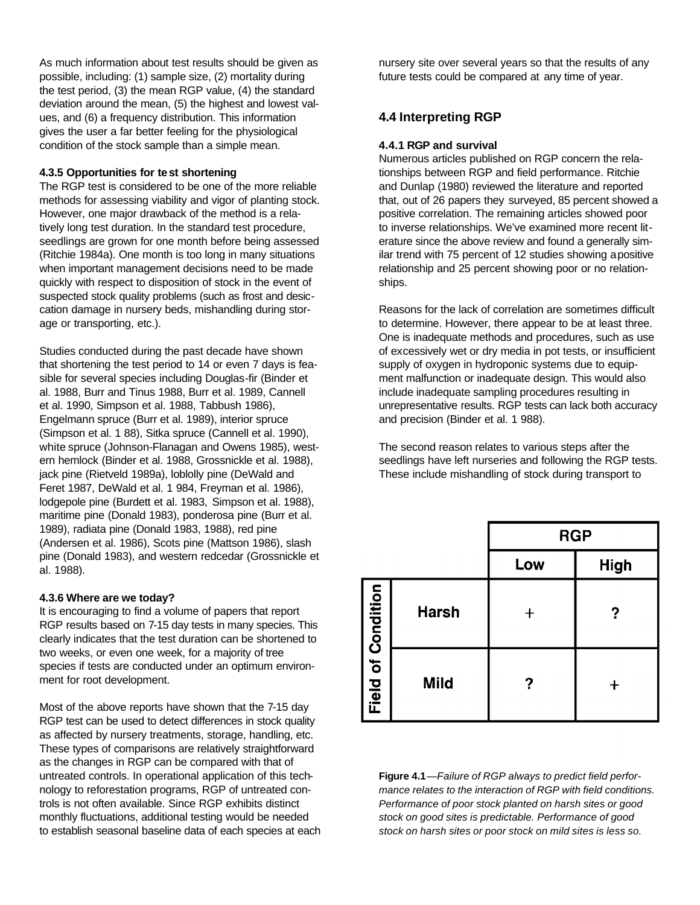As much information about test results should be given as possible, including: (1) sample size, (2) mortality during the test period, (3) the mean RGP value, (4) the standard deviation around the mean, (5) the highest and lowest values, and (6) a frequency distribution. This information gives the user a far better feeling for the physiological condition of the stock sample than a simple mean.

#### **4.3.5 Opportunities for test shortening**

The RGP test is considered to be one of the more reliable methods for assessing viability and vigor of planting stock. However, one major drawback of the method is a relatively long test duration. In the standard test procedure, seedlings are grown for one month before being assessed (Ritchie 1984a). One month is too long in many situations when important management decisions need to be made quickly with respect to disposition of stock in the event of suspected stock quality problems (such as frost and desiccation damage in nursery beds, mishandling during storage or transporting, etc.).

Studies conducted during the past decade have shown that shortening the test period to 14 or even 7 days is feasible for several species including Douglas-fir (Binder et al. 1988, Burr and Tinus 1988, Burr et al. 1989, Cannell et al. 1990, Simpson et al. 1988, Tabbush 1986), Engelmann spruce (Burr et al. 1989), interior spruce (Simpson et al. 1 88), Sitka spruce (Cannell et al. 1990), white spruce (Johnson-Flanagan and Owens 1985), western hemlock (Binder et al. 1988, Grossnickle et al. 1988), jack pine (Rietveld 1989a), loblolly pine (DeWald and Feret 1987, DeWald et al. 1 984, Freyman et al. 1986), lodgepole pine (Burdett et al. 1983, Simpson et al. 1988), maritime pine (Donald 1983), ponderosa pine (Burr et al. 1989), radiata pine (Donald 1983, 1988), red pine (Andersen et al. 1986), Scots pine (Mattson 1986), slash pine (Donald 1983), and western redcedar (Grossnickle et al. 1988).

#### **4.3.6 Where are we today?**

It is encouraging to find a volume of papers that report RGP results based on 7-15 day tests in many species. This clearly indicates that the test duration can be shortened to two weeks, or even one week, for a majority of tree species if tests are conducted under an optimum environment for root development.

Most of the above reports have shown that the 7-15 day RGP test can be used to detect differences in stock quality as affected by nursery treatments, storage, handling, etc. These types of comparisons are relatively straightforward as the changes in RGP can be compared with that of untreated controls. In operational application of this technology to reforestation programs, RGP of untreated controls is not often available. Since RGP exhibits distinct monthly fluctuations, additional testing would be needed to establish seasonal baseline data of each species at each

nursery site over several years so that the results of any future tests could be compared at any time of year.

# **4.4 Interpreting RGP**

#### **4.4.1 RGP and survival**

Numerous articles published on RGP concern the relationships between RGP and field performance. Ritchie and Dunlap (1980) reviewed the literature and reported that, out of 26 papers they surveyed, 85 percent showed a positive correlation. The remaining articles showed poor to inverse relationships. We've examined more recent literature since the above review and found a generally similar trend with 75 percent of 12 studies showing a positive relationship and 25 percent showing poor or no relationships.

Reasons for the lack of correlation are sometimes difficult to determine. However, there appear to be at least three. One is inadequate methods and procedures, such as use of excessively wet or dry media in pot tests, or insufficient supply of oxygen in hydroponic systems due to equipment malfunction or inadequate design. This would also include inadequate sampling procedures resulting in unrepresentative results. RGP tests can lack both accuracy and precision (Binder et al. 1 988).

The second reason relates to various steps after the seedlings have left nurseries and following the RGP tests. These include mishandling of stock during transport to

|                           |              | <b>RGP</b> |             |
|---------------------------|--------------|------------|-------------|
|                           |              | Low        | <b>High</b> |
| <b>Field of Condition</b> | <b>Harsh</b> |            | ?           |
|                           | <b>Mild</b>  | ?          |             |

**Figure 4.1**—*Failure of RGP always to predict field performance relates to the interaction of RGP with field conditions. Performance of poor stock planted on harsh sites or good stock on good sites is predictable. Performance of good stock on harsh sites or poor stock on mild sites is less so.*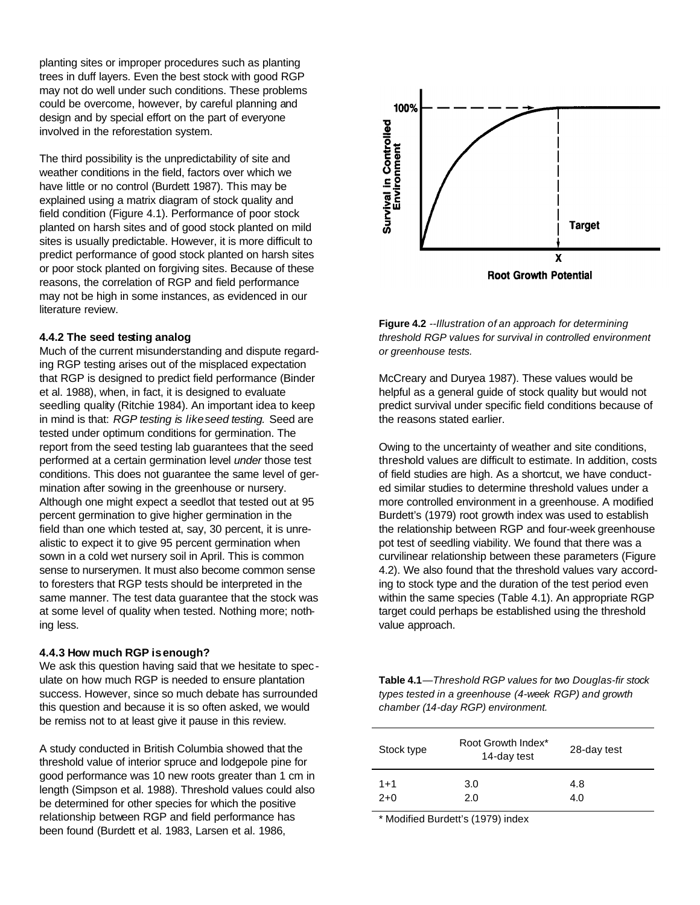planting sites or improper procedures such as planting trees in duff layers. Even the best stock with good RGP may not do well under such conditions. These problems could be overcome, however, by careful planning and design and by special effort on the part of everyone involved in the reforestation system.

The third possibility is the unpredictability of site and weather conditions in the field, factors over which we have little or no control (Burdett 1987). This may be explained using a matrix diagram of stock quality and field condition (Figure 4.1). Performance of poor stock planted on harsh sites and of good stock planted on mild sites is usually predictable. However, it is more difficult to predict performance of good stock planted on harsh sites or poor stock planted on forgiving sites. Because of these reasons, the correlation of RGP and field performance may not be high in some instances, as evidenced in our literature review.

#### **4.4.2 The seed testing analog**

Much of the current misunderstanding and dispute regarding RGP testing arises out of the misplaced expectation that RGP is designed to predict field performance (Binder et al. 1988), when, in fact, it is designed to evaluate seedling quality (Ritchie 1984). An important idea to keep in mind is that: *RGP testing is likeseed testing.* Seed are tested under optimum conditions for germination. The report from the seed testing lab guarantees that the seed performed at a certain germination level *under* those test conditions. This does not guarantee the same level of germination after sowing in the greenhouse or nursery. Although one might expect a seedlot that tested out at 95 percent germination to give higher germination in the field than one which tested at, say, 30 percent, it is unrealistic to expect it to give 95 percent germination when sown in a cold wet nursery soil in April. This is common sense to nurserymen. It must also become common sense to foresters that RGP tests should be interpreted in the same manner. The test data guarantee that the stock was at some level of quality when tested. Nothing more; nothing less.

#### **4.4.3 How much RGP isenough?**

We ask this question having said that we hesitate to spec ulate on how much RGP is needed to ensure plantation success. However, since so much debate has surrounded this question and because it is so often asked, we would be remiss not to at least give it pause in this review.

A study conducted in British Columbia showed that the threshold value of interior spruce and lodgepole pine for good performance was 10 new roots greater than 1 cm in length (Simpson et al. 1988). Threshold values could also be determined for other species for which the positive relationship between RGP and field performance has been found (Burdett et al. 1983, Larsen et al. 1986,



**Figure 4.2** *--Illustration of an approach for determining threshold RGP values for survival in controlled environment or greenhouse tests.*

McCreary and Duryea 1987). These values would be helpful as a general quide of stock quality but would not predict survival under specific field conditions because of the reasons stated earlier.

Owing to the uncertainty of weather and site conditions, threshold values are difficult to estimate. In addition, costs of field studies are high. As a shortcut, we have conducted similar studies to determine threshold values under a more controlled environment in a greenhouse. A modified Burdett's (1979) root growth index was used to establish the relationship between RGP and four-week greenhouse pot test of seedling viability. We found that there was a curvilinear relationship between these parameters (Figure 4.2). We also found that the threshold values vary according to stock type and the duration of the test period even within the same species (Table 4.1). An appropriate RGP target could perhaps be established using the threshold value approach.

**Table 4.1***—Threshold RGP values for two Douglas-fir stock types tested in a greenhouse (4-week RGP) and growth chamber (14-day RGP) environment.*

| Stock type | Root Growth Index*<br>14-day test | 28-day test |
|------------|-----------------------------------|-------------|
| $1 + 1$    | 3.0                               | 4.8         |
| $2+0$      | 2.0                               | 4.0         |

\* Modified Burdett's (1979) index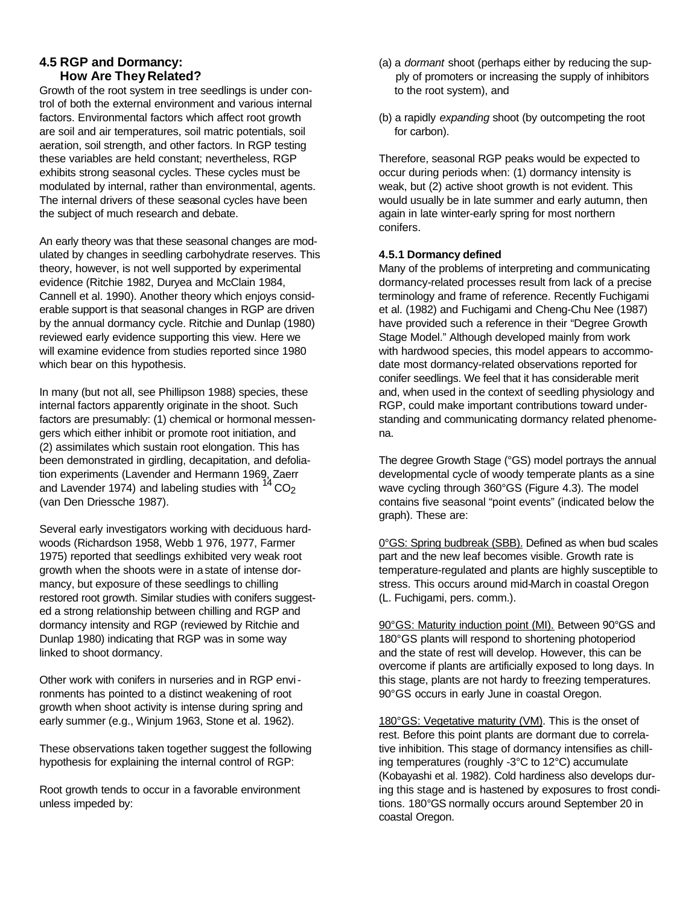#### **4.5 RGP and Dormancy: How Are They Related?**

Growth of the root system in tree seedlings is under control of both the external environment and various internal factors. Environmental factors which affect root growth are soil and air temperatures, soil matric potentials, soil aeration, soil strength, and other factors. In RGP testing these variables are held constant; nevertheless, RGP exhibits strong seasonal cycles. These cycles must be modulated by internal, rather than environmental, agents. The internal drivers of these seasonal cycles have been the subject of much research and debate.

An early theory was that these seasonal changes are modulated by changes in seedling carbohydrate reserves. This theory, however, is not well supported by experimental evidence (Ritchie 1982, Duryea and McClain 1984, Cannell et al. 1990). Another theory which enjoys considerable support is that seasonal changes in RGP are driven by the annual dormancy cycle. Ritchie and Dunlap (1980) reviewed early evidence supporting this view. Here we will examine evidence from studies reported since 1980 which bear on this hypothesis.

In many (but not all, see Phillipson 1988) species, these internal factors apparently originate in the shoot. Such factors are presumably: (1) chemical or hormonal messengers which either inhibit or promote root initiation, and (2) assimilates which sustain root elongation. This has been demonstrated in girdling, decapitation, and defoliation experiments (Lavender and Hermann 1969, Zaerr and Lavender 1974) and labeling studies with  $14^{\circ}$  CO<sub>2</sub> (van Den Driessche 1987).

Several early investigators working with deciduous hardwoods (Richardson 1958, Webb 1 976, 1977, Farmer 1975) reported that seedlings exhibited very weak root growth when the shoots were in a state of intense dormancy, but exposure of these seedlings to chilling restored root growth. Similar studies with conifers suggested a strong relationship between chilling and RGP and dormancy intensity and RGP (reviewed by Ritchie and Dunlap 1980) indicating that RGP was in some way linked to shoot dormancy.

Other work with conifers in nurseries and in RGP environments has pointed to a distinct weakening of root growth when shoot activity is intense during spring and early summer (e.g., Winjum 1963, Stone et al. 1962).

These observations taken together suggest the following hypothesis for explaining the internal control of RGP:

Root growth tends to occur in a favorable environment unless impeded by:

- (a) a *dormant* shoot (perhaps either by reducing the sup ply of promoters or increasing the supply of inhibitors to the root system), and
- (b) a rapidly *expanding* shoot (by outcompeting the root for carbon).

Therefore, seasonal RGP peaks would be expected to occur during periods when: (1) dormancy intensity is weak, but (2) active shoot growth is not evident. This would usually be in late summer and early autumn, then again in late winter-early spring for most northern conifers.

#### **4.5.1 Dormancy defined**

Many of the problems of interpreting and communicating dormancy-related processes result from lack of a precise terminology and frame of reference. Recently Fuchigami et al. (1982) and Fuchigami and Cheng-Chu Nee (1987) have provided such a reference in their "Degree Growth Stage Model." Although developed mainly from work with hardwood species, this model appears to accommodate most dormancy-related observations reported for conifer seedlings. We feel that it has considerable merit and, when used in the context of seedling physiology and RGP, could make important contributions toward understanding and communicating dormancy related phenomena.

The degree Growth Stage (°GS) model portrays the annual developmental cycle of woody temperate plants as a sine wave cycling through 360°GS (Figure 4.3). The model contains five seasonal "point events" (indicated below the graph). These are:

0°GS: Spring budbreak (SBB). Defined as when bud scales part and the new leaf becomes visible. Growth rate is temperature-regulated and plants are highly susceptible to stress. This occurs around mid-March in coastal Oregon (L. Fuchigami, pers. comm.).

90°GS: Maturity induction point (MI). Between 90°GS and 180°GS plants will respond to shortening photoperiod and the state of rest will develop. However, this can be overcome if plants are artificially exposed to long days. In this stage, plants are not hardy to freezing temperatures. 90°GS occurs in early June in coastal Oregon.

180°GS: Vegetative maturity (VM). This is the onset of rest. Before this point plants are dormant due to correlative inhibition. This stage of dormancy intensifies as chilling temperatures (roughly -3°C to 12°C) accumulate (Kobayashi et al. 1982). Cold hardiness also develops during this stage and is hastened by exposures to frost conditions. 180°GS normally occurs around September 20 in coastal Oregon.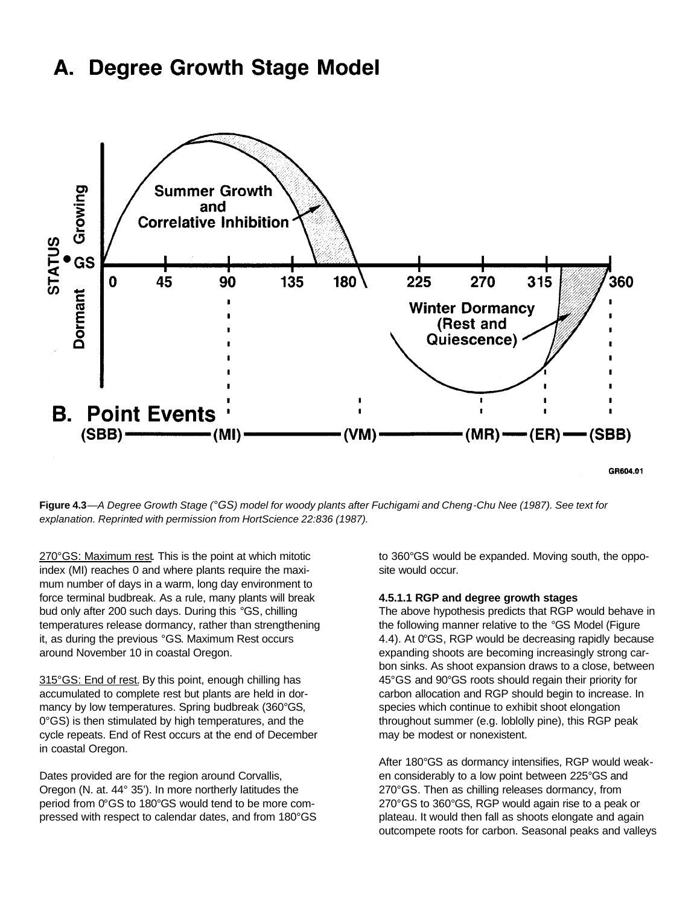#### **Degree Growth Stage Model** А.



**Figure 4.3***—A Degree Growth Stage (°GS) model for woody plants after Fuchigami and Cheng-Chu Nee (1987). See text for explanation. Reprinted with permission from HortScience 22:836 (1987).*

270°GS: Maximum rest. This is the point at which mitotic index (MI) reaches 0 and where plants require the maximum number of days in a warm, long day environment to force terminal budbreak. As a rule, many plants will break bud only after 200 such days. During this °GS, chilling temperatures release dormancy, rather than strengthening it, as during the previous °GS. Maximum Rest occurs around November 10 in coastal Oregon.

315°GS: End of rest. By this point, enough chilling has accumulated to complete rest but plants are held in dormancy by low temperatures. Spring budbreak (360°GS, 0°GS) is then stimulated by high temperatures, and the cycle repeats. End of Rest occurs at the end of December in coastal Oregon.

Dates provided are for the region around Corvallis, Oregon (N. at. 44° 35'). In more northerly latitudes the period from 0°GS to 180°GS would tend to be more compressed with respect to calendar dates, and from 180°GS to 360°GS would be expanded. Moving south, the opposite would occur.

#### **4.5.1.1 RGP and degree growth stages**

The above hypothesis predicts that RGP would behave in the following manner relative to the °GS Model (Figure 4.4). At 0°GS, RGP would be decreasing rapidly because expanding shoots are becoming increasingly strong carbon sinks. As shoot expansion draws to a close, between 45°GS and 90°GS roots should regain their priority for carbon allocation and RGP should begin to increase. In species which continue to exhibit shoot elongation throughout summer (e.g. loblolly pine), this RGP peak may be modest or nonexistent.

After 180°GS as dormancy intensifies, RGP would weaken considerably to a low point between 225°GS and 270°GS. Then as chilling releases dormancy, from 270°GS to 360°GS, RGP would again rise to a peak or plateau. It would then fall as shoots elongate and again outcompete roots for carbon. Seasonal peaks and valleys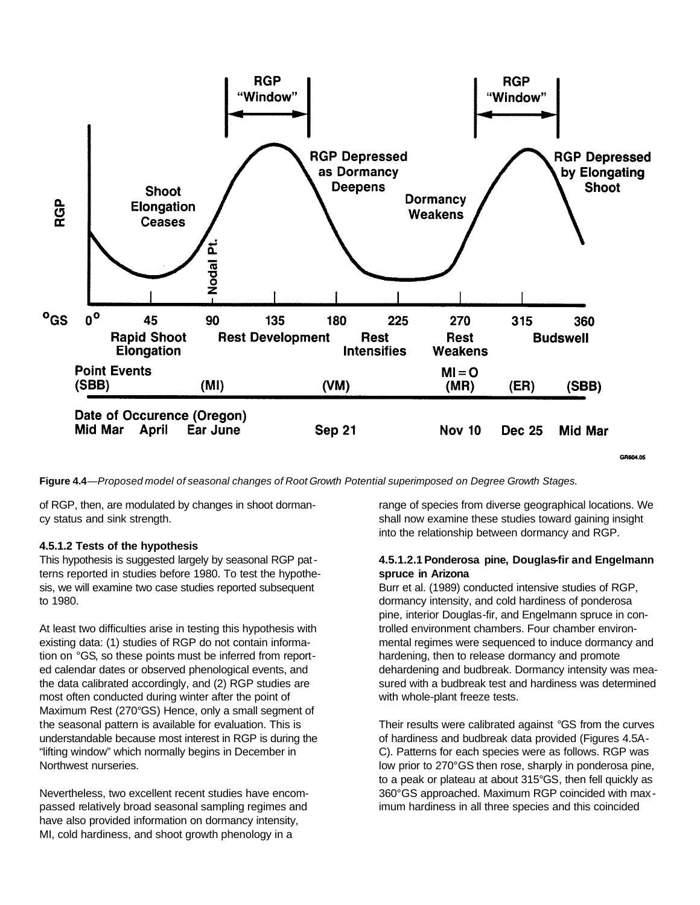

**Figure 4.4***—Proposed model of seasonal changes of Root Growth Potential superimposed on Degree Growth Stages.*

of RGP, then, are modulated by changes in shoot dormancy status and sink strength.

### **4.5.1.2 Tests of the hypothesis**

This hypothesis is suggested largely by seasonal RGP patterns reported in studies before 1980. To test the hypothesis, we will examine two case studies reported subsequent to 1980.

At least two difficulties arise in testing this hypothesis with existing data: (1) studies of RGP do not contain information on °GS, so these points must be inferred from reported calendar dates or observed phenological events, and the data calibrated accordingly, and (2) RGP studies are most often conducted during winter after the point of Maximum Rest (270°GS) Hence, only a small segment of the seasonal pattern is available for evaluation. This is understandable because most interest in RGP is during the "lifting window" which normally begins in December in Northwest nurseries.

Nevertheless, two excellent recent studies have encompassed relatively broad seasonal sampling regimes and have also provided information on dormancy intensity, MI, cold hardiness, and shoot growth phenology in a

range of species from diverse geographical locations. We shall now examine these studies toward gaining insight into the relationship between dormancy and RGP.

#### **4.5.1.2.1Ponderosa pine, Douglas-fir and Engelmann spruce in Arizona**

Burr et al. (1989) conducted intensive studies of RGP, dormancy intensity, and cold hardiness of ponderosa pine, interior Douglas-fir, and Engelmann spruce in controlled environment chambers. Four chamber environmental regimes were sequenced to induce dormancy and hardening, then to release dormancy and promote dehardening and budbreak. Dormancy intensity was measured with a budbreak test and hardiness was determined with whole-plant freeze tests.

Their results were calibrated against °GS from the curves of hardiness and budbreak data provided (Figures 4.5A-C). Patterns for each species were as follows. RGP was low prior to 270°GS then rose, sharply in ponderosa pine, to a peak or plateau at about 315°GS, then fell quickly as 360°GS approached. Maximum RGP coincided with max imum hardiness in all three species and this coincided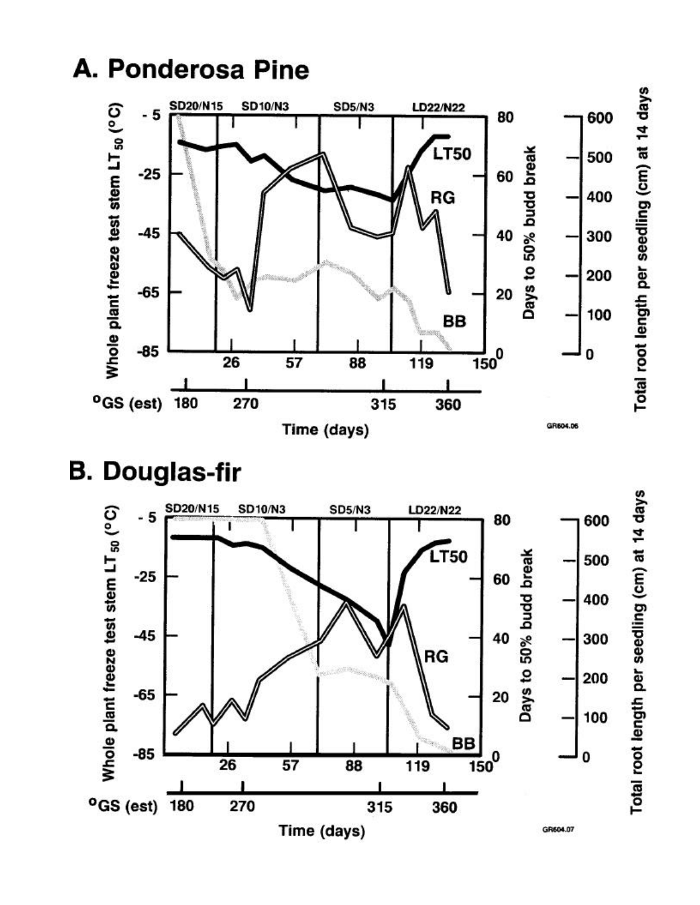

# **B. Douglas-fir**

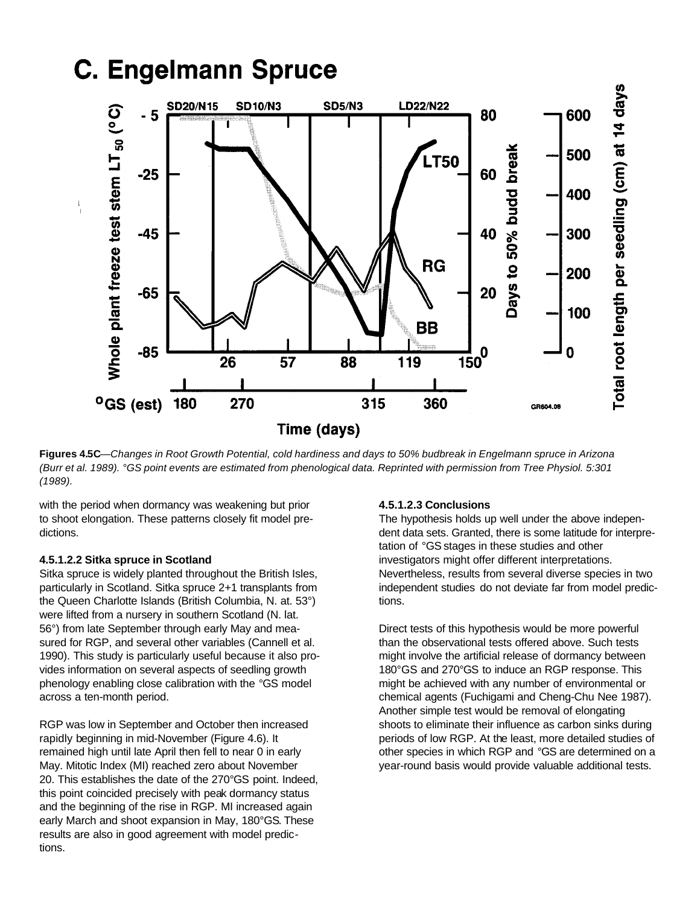

**Figures 4.5C**—*Changes in Root Growth Potential, cold hardiness and days to 50% budbreak in Engelmann spruce in Arizona (Burr et al. 1989). °GS point events are estimated from phenological data. Reprinted with permission from Tree Physiol. 5:301 (1989).*

with the period when dormancy was weakening but prior to shoot elongation. These patterns closely fit model predictions.

#### **4.5.1.2.2 Sitka spruce in Scotland**

Sitka spruce is widely planted throughout the British Isles, particularly in Scotland. Sitka spruce 2+1 transplants from the Queen Charlotte Islands (British Columbia, N. at. 53°) were lifted from a nursery in southern Scotland (N. lat. 56°) from late September through early May and measured for RGP, and several other variables (Cannell et al. 1990). This study is particularly useful because it also provides information on several aspects of seedling growth phenology enabling close calibration with the °GS model across a ten-month period.

RGP was low in September and October then increased rapidly beginning in mid-November (Figure 4.6). It remained high until late April then fell to near 0 in early May. Mitotic Index (MI) reached zero about November 20. This establishes the date of the 270°GS point. Indeed, this point coincided precisely with peak dormancy status and the beginning of the rise in RGP. MI increased again early March and shoot expansion in May, 180°GS. These results are also in good agreement with model predictions.

#### **4.5.1.2.3 Conclusions**

The hypothesis holds up well under the above independent data sets. Granted, there is some latitude for interpretation of °GS stages in these studies and other investigators might offer different interpretations. Nevertheless, results from several diverse species in two independent studies do not deviate far from model predictions.

Direct tests of this hypothesis would be more powerful than the observational tests offered above. Such tests might involve the artificial release of dormancy between 180°GS and 270°GS to induce an RGP response. This might be achieved with any number of environmental or chemical agents (Fuchigami and Cheng-Chu Nee 1987). Another simple test would be removal of elongating shoots to eliminate their influence as carbon sinks during periods of low RGP. At the least, more detailed studies of other species in which RGP and °GS are determined on a year-round basis would provide valuable additional tests.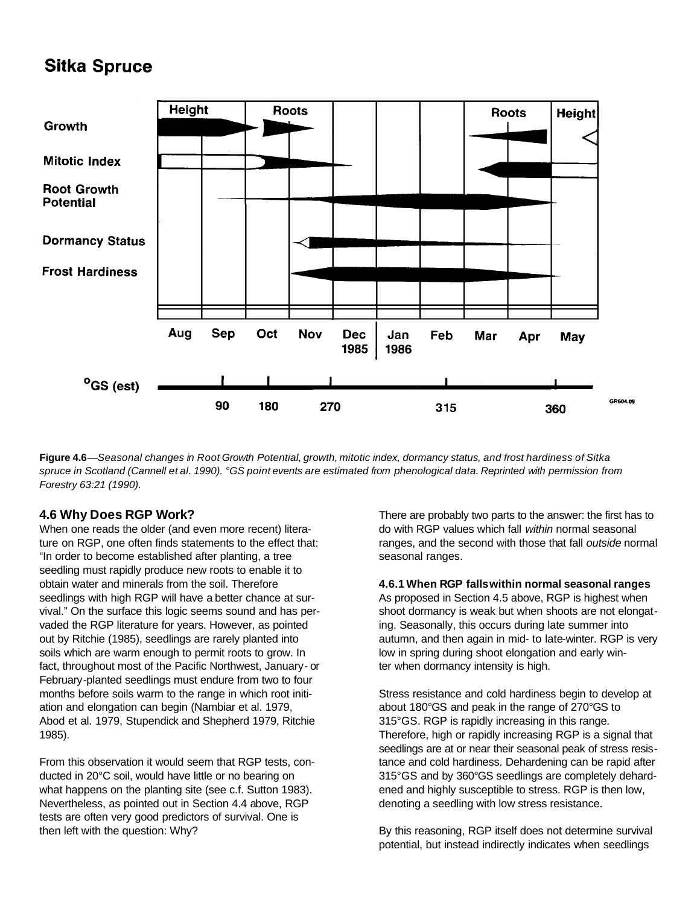# **Sitka Spruce**



Figure 4.6 -Seasonal changes in Root Growth Potential, growth, mitotic index, dormancy status, and frost hardiness of Sitka spruce in Scotland (Cannell et al. 1990). °GS point events are estimated from phenological data. Reprinted with permission from *Forestry 63:21 (1990).*

### **4.6 Why Does RGP Work?**

When one reads the older (and even more recent) literature on RGP, one often finds statements to the effect that: "In order to become established after planting, a tree seedling must rapidly produce new roots to enable it to obtain water and minerals from the soil. Therefore seedlings with high RGP will have a better chance at survival." On the surface this logic seems sound and has pervaded the RGP literature for years. However, as pointed out by Ritchie (1985), seedlings are rarely planted into soils which are warm enough to permit roots to grow. In fact, throughout most of the Pacific Northwest, January- or February-planted seedlings must endure from two to four months before soils warm to the range in which root initiation and elongation can begin (Nambiar et al. 1979, Abod et al. 1979, Stupendick and Shepherd 1979, Ritchie 1985).

From this observation it would seem that RGP tests, conducted in 20°C soil, would have little or no bearing on what happens on the planting site (see c.f. Sutton 1983). Nevertheless, as pointed out in Section 4.4 above, RGP tests are often very good predictors of survival. One is then left with the question: Why?

There are probably two parts to the answer: the first has to do with RGP values which fall *within* normal seasonal ranges, and the second with those that fall *outside* normal seasonal ranges.

**4.6.1 When RGP fallswithin normal seasonal ranges** As proposed in Section 4.5 above, RGP is highest when shoot dormancy is weak but when shoots are not elongating. Seasonally, this occurs during late summer into autumn, and then again in mid- to late-winter. RGP is very low in spring during shoot elongation and early winter when dormancy intensity is high.

Stress resistance and cold hardiness begin to develop at about 180°GS and peak in the range of 270°GS to 315°GS. RGP is rapidly increasing in this range. Therefore, high or rapidly increasing RGP is a signal that seedlings are at or near their seasonal peak of stress resistance and cold hardiness. Dehardening can be rapid after 315°GS and by 360°GS seedlings are completely dehardened and highly susceptible to stress. RGP is then low, denoting a seedling with low stress resistance.

By this reasoning, RGP itself does not determine survival potential, but instead indirectly indicates when seedlings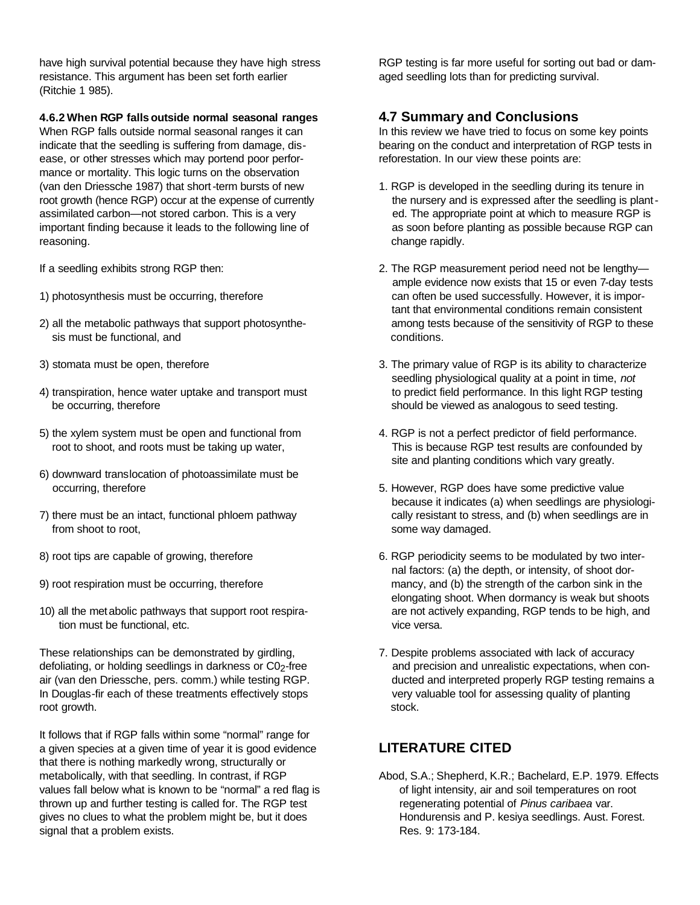have high survival potential because they have high stress resistance. This argument has been set forth earlier (Ritchie 1 985).

**4.6.2 When RGP falls outside normal seasonal ranges**

When RGP falls outside normal seasonal ranges it can indicate that the seedling is suffering from damage, disease, or other stresses which may portend poor performance or mortality. This logic turns on the observation (van den Driessche 1987) that short-term bursts of new root growth (hence RGP) occur at the expense of currently assimilated carbon—not stored carbon. This is a very important finding because it leads to the following line of reasoning.

If a seedling exhibits strong RGP then:

- 1) photosynthesis must be occurring, therefore
- 2) all the metabolic pathways that support photosynthe sis must be functional, and
- 3) stomata must be open, therefore
- 4) transpiration, hence water uptake and transport must be occurring, therefore
- 5) the xylem system must be open and functional from root to shoot, and roots must be taking up water,
- 6) downward translocation of photoassimilate must be occurring, therefore
- 7) there must be an intact, functional phloem pathway from shoot to root,
- 8) root tips are capable of growing, therefore
- 9) root respiration must be occurring, therefore
- 10) all the metabolic pathways that support root respira tion must be functional, etc.

These relationships can be demonstrated by girdling, defoliating, or holding seedlings in darkness or C02-free air (van den Driessche, pers. comm.) while testing RGP. In Douglas-fir each of these treatments effectively stops root growth.

It follows that if RGP falls within some "normal" range for a given species at a given time of year it is good evidence that there is nothing markedly wrong, structurally or metabolically, with that seedling. In contrast, if RGP values fall below what is known to be "normal" a red flag is thrown up and further testing is called for. The RGP test gives no clues to what the problem might be, but it does signal that a problem exists.

RGP testing is far more useful for sorting out bad or damaged seedling lots than for predicting survival.

### **4.7 Summary and Conclusions**

In this review we have tried to focus on some key points bearing on the conduct and interpretation of RGP tests in reforestation. In our view these points are:

- 1. RGP is developed in the seedling during its tenure in the nursery and is expressed after the seedling is plant ed. The appropriate point at which to measure RGP is as soon before planting as possible because RGP can change rapidly.
- 2. The RGP measurement period need not be lengthy ample evidence now exists that 15 or even 7-day tests can often be used successfully. However, it is impor tant that environmental conditions remain consistent among tests because of the sensitivity of RGP to these conditions.
- 3. The primary value of RGP is its ability to characterize seedling physiological quality at a point in time, *not*  to predict field performance. In this light RGP testing should be viewed as analogous to seed testing.
- 4. RGP is not a perfect predictor of field performance. This is because RGP test results are confounded by site and planting conditions which vary greatly.
- 5. However, RGP does have some predictive value because it indicates (a) when seedlings are physiologi cally resistant to stress, and (b) when seedlings are in some way damaged.
- 6. RGP periodicity seems to be modulated by two inter nal factors: (a) the depth, or intensity, of shoot dor mancy, and (b) the strength of the carbon sink in the elongating shoot. When dormancy is weak but shoots are not actively expanding, RGP tends to be high, and vice versa.
- 7. Despite problems associated with lack of accuracy and precision and unrealistic expectations, when con ducted and interpreted properly RGP testing remains a very valuable tool for assessing quality of planting stock.

# **LITERATURE CITED**

Abod, S.A.; Shepherd, K.R.; Bachelard, E.P. 1979. Effects of light intensity, air and soil temperatures on root regenerating potential of *Pinus caribaea* var. Hondurensis and P. kesiya seedlings. Aust. Forest. Res. 9: 173-184.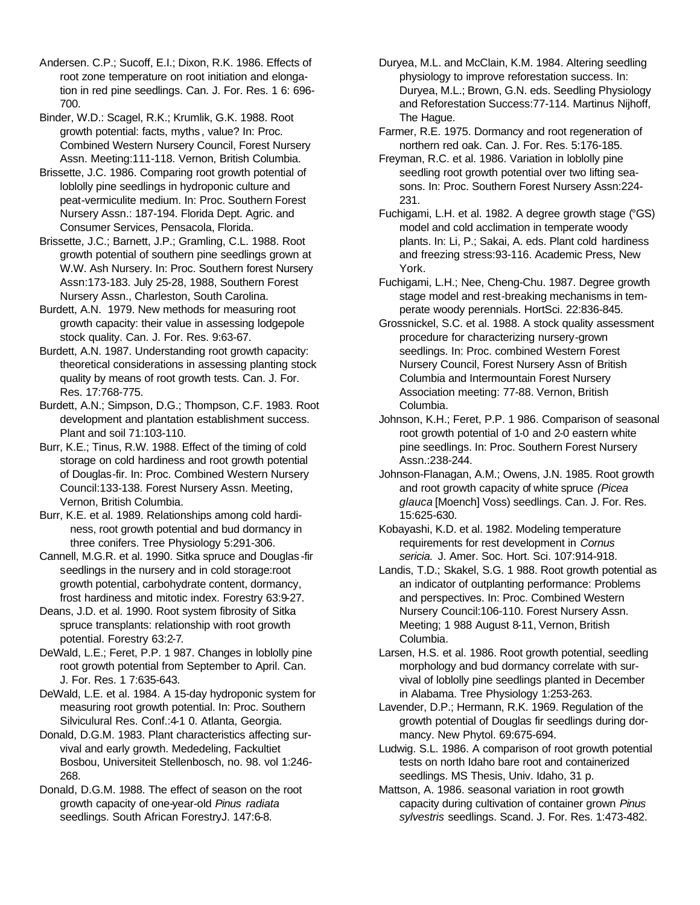Andersen. C.P.; Sucoff, E.I.; Dixon, R.K. 1986. Effects of root zone temperature on root initiation and elongation in red pine seedlings. Can. J. For. Res. 1 6: 696- 700.

Binder, W.D.: Scagel, R.K.; Krumlik, G.K. 1988. Root growth potential: facts, myths , value? In: Proc. Combined Western Nursery Council, Forest Nursery Assn. Meeting:111-118. Vernon, British Columbia.

Brissette, J.C. 1986. Comparing root growth potential of loblolly pine seedlings in hydroponic culture and peat-vermiculite medium. In: Proc. Southern Forest Nursery Assn.: 187-194. Florida Dept. Agric. and Consumer Services, Pensacola, Florida.

Brissette, J.C.; Barnett, J.P.; Gramling, C.L. 1988. Root growth potential of southern pine seedlings grown at W.W. Ash Nursery. In: Proc. Southern forest Nursery Assn:173-183. July 25-28, 1988, Southern Forest Nursery Assn., Charleston, South Carolina.

Burdett, A.N. 1979. New methods for measuring root growth capacity: their value in assessing lodgepole stock quality. Can. J. For. Res. 9:63-67.

Burdett, A.N. 1987. Understanding root growth capacity: theoretical considerations in assessing planting stock quality by means of root growth tests. Can. J. For. Res. 17:768-775.

Burdett, A.N.; Simpson, D.G.; Thompson, C.F. 1983. Root development and plantation establishment success. Plant and soil 71:103-110.

Burr, K.E.; Tinus, R.W. 1988. Effect of the timing of cold storage on cold hardiness and root growth potential of Douglas-fir. In: Proc. Combined Western Nursery Council:133-138. Forest Nursery Assn. Meeting, Vernon, British Columbia.

Burr, K.E. et al. 1989. Relationships among cold hardiness, root growth potential and bud dormancy in three conifers. Tree Physiology 5:291-306.

Cannell, M.G.R. et al. 1990. Sitka spruce and Douglas -fir seedlings in the nursery and in cold storage:root growth potential, carbohydrate content, dormancy, frost hardiness and mitotic index. Forestry 63:9-27.

Deans, J.D. et al. 1990. Root system fibrosity of Sitka spruce transplants: relationship with root growth potential. Forestry 63:2-7.

DeWald, L.E.; Feret, P.P. 1 987. Changes in loblolly pine root growth potential from September to April. Can. J. For. Res. 1 7:635-643.

DeWald, L.E. et al. 1984. A 15-day hydroponic system for measuring root growth potential. In: Proc. Southern Silviculural Res. Conf.:4-1 0. Atlanta, Georgia.

Donald, D.G.M. 1983. Plant characteristics affecting survival and early growth. Mededeling, Fackultiet Bosbou, Universiteit Stellenbosch, no. 98. vol 1:246- 268.

Donald, D.G.M. 1988. The effect of season on the root growth capacity of one-year-old *Pinus radiata* seedlings. South African ForestryJ. 147:6-8.

Duryea, M.L. and McClain, K.M. 1984. Altering seedling physiology to improve reforestation success. In: Duryea, M.L.; Brown, G.N. eds. Seedling Physiology and Reforestation Success:77-114. Martinus Nijhoff, The Hague.

Farmer, R.E. 1975. Dormancy and root regeneration of northern red oak. Can. J. For. Res. 5:176-185.

Freyman, R.C. et al. 1986. Variation in loblolly pine seedling root growth potential over two lifting seasons. In: Proc. Southern Forest Nursery Assn:224- 231.

Fuchigami, L.H. et al. 1982. A degree growth stage (°GS) model and cold acclimation in temperate woody plants. In: Li, P.; Sakai, A. eds. Plant cold hardiness and freezing stress:93-116. Academic Press, New York.

Fuchigami, L.H.; Nee, Cheng-Chu. 1987. Degree growth stage model and rest-breaking mechanisms in temperate woody perennials. HortSci. 22:836-845.

Grossnickel, S.C. et al. 1988. A stock quality assessment procedure for characterizing nursery-grown seedlings. In: Proc. combined Western Forest Nursery Council, Forest Nursery Assn of British Columbia and Intermountain Forest Nursery Association meeting: 77-88. Vernon, British Columbia.

Johnson, K.H.; Feret, P.P. 1 986. Comparison of seasonal root growth potential of 1-0 and 2-0 eastern white pine seedlings. In: Proc. Southern Forest Nursery Assn.:238-244.

Johnson-Flanagan, A.M.; Owens, J.N. 1985. Root growth and root growth capacity of white spruce *(Picea glauca* [Moench] Voss) seedlings. Can. J. For. Res. 15:625-630.

Kobayashi, K.D. et al. 1982. Modeling temperature requirements for rest development in *Cornus sericia.* J. Amer. Soc. Hort. Sci. 107:914-918.

Landis, T.D.; Skakel, S.G. 1 988. Root growth potential as an indicator of outplanting performance: Problems and perspectives. In: Proc. Combined Western Nursery Council:106-110. Forest Nursery Assn. Meeting; 1 988 August 8-11, Vernon, British Columbia.

Larsen, H.S. et al. 1986. Root growth potential, seedling morphology and bud dormancy correlate with survival of loblolly pine seedlings planted in December in Alabama. Tree Physiology 1:253-263.

Lavender, D.P.; Hermann, R.K. 1969. Regulation of the growth potential of Douglas fir seedlings during dormancy. New Phytol. 69:675-694.

Ludwig. S.L. 1986. A comparison of root growth potential tests on north Idaho bare root and containerized seedlings. MS Thesis, Univ. Idaho, 31 p.

Mattson, A. 1986. seasonal variation in root growth capacity during cultivation of container grown *Pinus sylvestris* seedlings. Scand. J. For. Res. 1:473-482.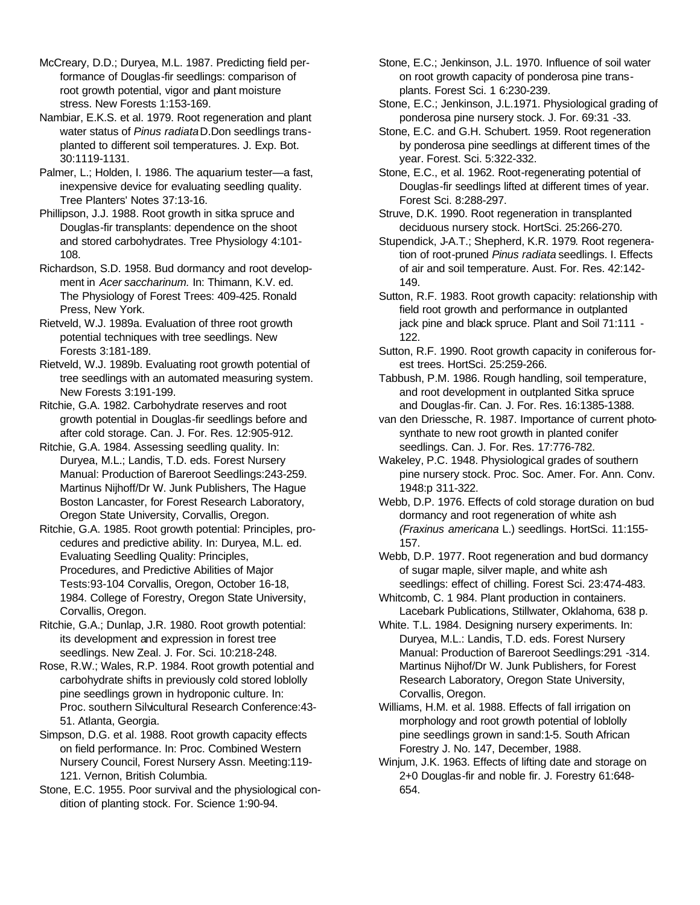McCreary, D.D.; Duryea, M.L. 1987. Predicting field performance of Douglas-fir seedlings: comparison of root growth potential, vigor and plant moisture stress. New Forests 1:153-169.

Nambiar, E.K.S. et al. 1979. Root regeneration and plant water status of *Pinus radiata* D.Don seedlings transplanted to different soil temperatures. J. Exp. Bot. 30:1119-1131.

Palmer, L.; Holden, I. 1986. The aquarium tester—a fast, inexpensive device for evaluating seedling quality. Tree Planters' Notes 37:13-16.

Phillipson, J.J. 1988. Root growth in sitka spruce and Douglas-fir transplants: dependence on the shoot and stored carbohydrates. Tree Physiology 4:101- 108.

Richardson, S.D. 1958. Bud dormancy and root development in *Acer saccharinum.* In: Thimann, K.V. ed. The Physiology of Forest Trees: 409-425. Ronald Press, New York.

Rietveld, W.J. 1989a. Evaluation of three root growth potential techniques with tree seedlings. New Forests 3:181-189.

Rietveld, W.J. 1989b. Evaluating root growth potential of tree seedlings with an automated measuring system. New Forests 3:191-199.

Ritchie, G.A. 1982. Carbohydrate reserves and root growth potential in Douglas-fir seedlings before and after cold storage. Can. J. For. Res. 12:905-912.

Ritchie, G.A. 1984. Assessing seedling quality. In: Duryea, M.L.; Landis, T.D. eds. Forest Nursery Manual: Production of Bareroot Seedlings:243-259. Martinus Nijhoff/Dr W. Junk Publishers, The Hague Boston Lancaster, for Forest Research Laboratory, Oregon State University, Corvallis, Oregon.

Ritchie, G.A. 1985. Root growth potential: Principles, procedures and predictive ability. In: Duryea, M.L. ed. Evaluating Seedling Quality: Principles, Procedures, and Predictive Abilities of Major Tests:93-104 Corvallis, Oregon, October 16-18, 1984. College of Forestry, Oregon State University, Corvallis, Oregon.

Ritchie, G.A.; Dunlap, J.R. 1980. Root growth potential: its development and expression in forest tree seedlings. New Zeal. J. For. Sci. 10:218-248.

Rose, R.W.; Wales, R.P. 1984. Root growth potential and carbohydrate shifts in previously cold stored loblolly pine seedlings grown in hydroponic culture. In: Proc. southern Silvicultural Research Conference:43- 51. Atlanta, Georgia.

Simpson, D.G. et al. 1988. Root growth capacity effects on field performance. In: Proc. Combined Western Nursery Council, Forest Nursery Assn. Meeting:119- 121. Vernon, British Columbia.

Stone, E.C. 1955. Poor survival and the physiological condition of planting stock. For. Science 1:90-94.

Stone, E.C.; Jenkinson, J.L. 1970. Influence of soil water on root growth capacity of ponderosa pine transplants. Forest Sci. 1 6:230-239.

Stone, E.C.; Jenkinson, J.L.1971. Physiological grading of ponderosa pine nursery stock. J. For. 69:31 -33.

Stone, E.C. and G.H. Schubert. 1959. Root regeneration by ponderosa pine seedlings at different times of the year. Forest. Sci. 5:322-332.

Stone, E.C., et al. 1962. Root-regenerating potential of Douglas-fir seedlings lifted at different times of year. Forest Sci. 8:288-297.

Struve, D.K. 1990. Root regeneration in transplanted deciduous nursery stock. HortSci. 25:266-270.

Stupendick, J-A.T.; Shepherd, K.R. 1979. Root regeneration of root-pruned *Pinus radiata* seedlings. I. Effects of air and soil temperature. Aust. For. Res. 42:142- 149.

Sutton, R.F. 1983. Root growth capacity: relationship with field root growth and performance in outplanted jack pine and black spruce. Plant and Soil 71:111 -122.

Sutton, R.F. 1990. Root growth capacity in coniferous forest trees. HortSci. 25:259-266.

Tabbush, P.M. 1986. Rough handling, soil temperature, and root development in outplanted Sitka spruce and Douglas-fir. Can. J. For. Res. 16:1385-1388.

van den Driessche, R. 1987. Importance of current photosynthate to new root growth in planted conifer seedlings. Can. J. For. Res. 17:776-782.

Wakeley, P.C. 1948. Physiological grades of southern pine nursery stock. Proc. Soc. Amer. For. Ann. Conv. 1948:p 311-322.

Webb, D.P. 1976. Effects of cold storage duration on bud dormancy and root regeneration of white ash *(Fraxinus americana* L.) seedlings. HortSci. 11:155- 157.

Webb, D.P. 1977. Root regeneration and bud dormancy of sugar maple, silver maple, and white ash seedlings: effect of chilling. Forest Sci. 23:474-483.

Whitcomb, C. 1 984. Plant production in containers. Lacebark Publications, Stillwater, Oklahoma, 638 p.

White. T.L. 1984. Designing nursery experiments. In: Duryea, M.L.: Landis, T.D. eds. Forest Nursery Manual: Production of Bareroot Seedlings:291 -314. Martinus Nijhof/Dr W. Junk Publishers, for Forest Research Laboratory, Oregon State University, Corvallis, Oregon.

Williams, H.M. et al. 1988. Effects of fall irrigation on morphology and root growth potential of loblolly pine seedlings grown in sand:1-5. South African Forestry J. No. 147, December, 1988.

Winjum, J.K. 1963. Effects of lifting date and storage on 2+0 Douglas-fir and noble fir. J. Forestry 61:648- 654.